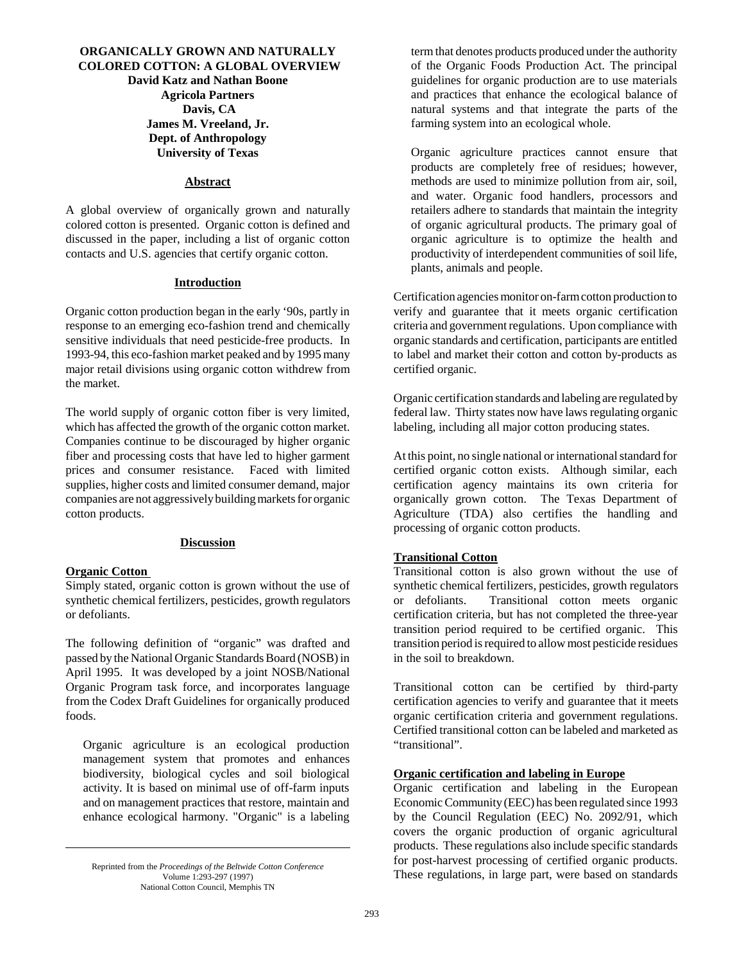# **ORGANICALLY GROWN AND NATURALLY COLORED COTTON: A GLOBAL OVERVIEW David Katz and Nathan Boone Agricola Partners Davis, CA James M. Vreeland, Jr. Dept. of Anthropology University of Texas**

#### **Abstract**

A global overview of organically grown and naturally colored cotton is presented. Organic cotton is defined and discussed in the paper, including a list of organic cotton contacts and U.S. agencies that certify organic cotton.

#### **Introduction**

Organic cotton production began in the early '90s, partly in response to an emerging eco-fashion trend and chemically sensitive individuals that need pesticide-free products. In 1993-94, this eco-fashion market peaked and by 1995 many major retail divisions using organic cotton withdrew from the market.

The world supply of organic cotton fiber is very limited, which has affected the growth of the organic cotton market. Companies continue to be discouraged by higher organic fiber and processing costs that have led to higher garment prices and consumer resistance. Faced with limited supplies, higher costs and limited consumer demand, major companies are not aggressively building markets for organic cotton products.

### **Discussion**

#### **Organic Cotton**

Simply stated, organic cotton is grown without the use of synthetic chemical fertilizers, pesticides, growth regulators or defoliants.

The following definition of "organic" was drafted and passed by the National Organic Standards Board (NOSB) in April 1995. It was developed by a joint NOSB/National Organic Program task force, and incorporates language from the Codex Draft Guidelines for organically produced foods.

Organic agriculture is an ecological production management system that promotes and enhances biodiversity, biological cycles and soil biological activity. It is based on minimal use of off-farm inputs and on management practices that restore, maintain and enhance ecological harmony. "Organic" is a labeling term that denotes products produced under the authority of the Organic Foods Production Act. The principal guidelines for organic production are to use materials and practices that enhance the ecological balance of natural systems and that integrate the parts of the farming system into an ecological whole.

Organic agriculture practices cannot ensure that products are completely free of residues; however, methods are used to minimize pollution from air, soil, and water. Organic food handlers, processors and retailers adhere to standards that maintain the integrity of organic agricultural products. The primary goal of organic agriculture is to optimize the health and productivity of interdependent communities of soil life, plants, animals and people.

Certification agencies monitor on-farm cotton production to verify and guarantee that it meets organic certification criteria and government regulations. Upon compliance with organic standards and certification, participants are entitled to label and market their cotton and cotton by-products as certified organic.

Organic certification standards and labeling are regulated by federal law. Thirty states now have laws regulating organic labeling, including all major cotton producing states.

At this point, no single national or international standard for certified organic cotton exists. Although similar, each certification agency maintains its own criteria for organically grown cotton. The Texas Department of Agriculture (TDA) also certifies the handling and processing of organic cotton products.

# **Transitional Cotton**

Transitional cotton is also grown without the use of synthetic chemical fertilizers, pesticides, growth regulators or defoliants. Transitional cotton meets organic certification criteria, but has not completed the three-year transition period required to be certified organic. This transition period is required to allow most pesticide residues in the soil to breakdown.

Transitional cotton can be certified by third-party certification agencies to verify and guarantee that it meets organic certification criteria and government regulations. Certified transitional cotton can be labeled and marketed as "transitional".

#### **Organic certification and labeling in Europe**

Organic certification and labeling in the European Economic Community (EEC) has been regulated since 1993 by the Council Regulation (EEC) No. 2092/91, which covers the organic production of organic agricultural products. These regulations also include specific standards for post-harvest processing of certified organic products. These regulations, in large part, were based on standards Volume 1:293-297 (1997)

Volume 1:293-297 (1997) National Cotton Council, Memphis TN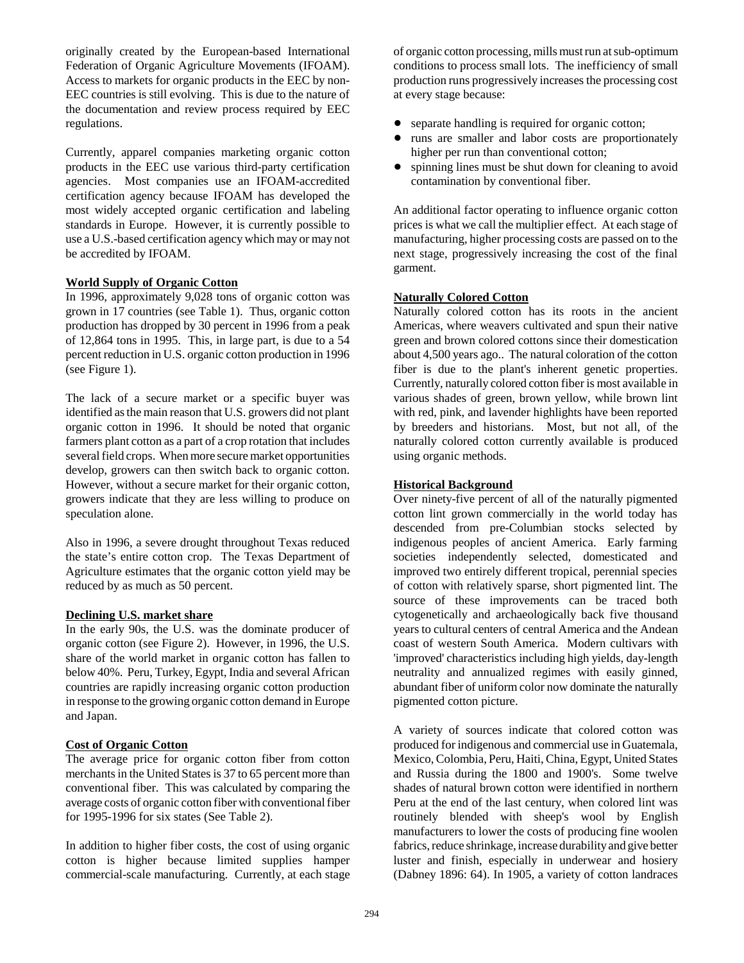originally created by the European-based International Federation of Organic Agriculture Movements (IFOAM). Access to markets for organic products in the EEC by non-EEC countries is still evolving. This is due to the nature of the documentation and review process required by EEC regulations.

Currently, apparel companies marketing organic cotton products in the EEC use various third-party certification agencies. Most companies use an IFOAM-accredited certification agency because IFOAM has developed the most widely accepted organic certification and labeling standards in Europe. However, it is currently possible to use a U.S.-based certification agency which may or may not be accredited by IFOAM.

## **World Supply of Organic Cotton**

In 1996, approximately 9,028 tons of organic cotton was grown in 17 countries (see Table 1). Thus, organic cotton production has dropped by 30 percent in 1996 from a peak of 12,864 tons in 1995. This, in large part, is due to a 54 percent reduction in U.S. organic cotton production in 1996 (see Figure 1).

The lack of a secure market or a specific buyer was identified as the main reason that U.S. growers did not plant organic cotton in 1996. It should be noted that organic farmers plant cotton as a part of a crop rotation that includes several field crops. When more secure market opportunities develop, growers can then switch back to organic cotton. However, without a secure market for their organic cotton, growers indicate that they are less willing to produce on speculation alone.

Also in 1996, a severe drought throughout Texas reduced the state's entire cotton crop. The Texas Department of Agriculture estimates that the organic cotton yield may be reduced by as much as 50 percent.

# **Declining U.S. market share**

In the early 90s, the U.S. was the dominate producer of organic cotton (see Figure 2). However, in 1996, the U.S. share of the world market in organic cotton has fallen to below 40%. Peru, Turkey, Egypt, India and several African countries are rapidly increasing organic cotton production in response to the growing organic cotton demand in Europe and Japan.

# **Cost of Organic Cotton**

The average price for organic cotton fiber from cotton merchants in the United States is 37 to 65 percent more than conventional fiber. This was calculated by comparing the average costs of organic cotton fiber with conventional fiber for 1995-1996 for six states (See Table 2).

In addition to higher fiber costs, the cost of using organic cotton is higher because limited supplies hamper commercial-scale manufacturing. Currently, at each stage of organic cotton processing, mills must run at sub-optimum conditions to process small lots. The inefficiency of small production runs progressively increases the processing cost at every stage because:

- separate handling is required for organic cotton;
- runs are smaller and labor costs are proportionately higher per run than conventional cotton;
- spinning lines must be shut down for cleaning to avoid contamination by conventional fiber.

An additional factor operating to influence organic cotton prices is what we call the multiplier effect. At each stage of manufacturing, higher processing costs are passed on to the next stage, progressively increasing the cost of the final garment.

## **Naturally Colored Cotton**

Naturally colored cotton has its roots in the ancient Americas, where weavers cultivated and spun their native green and brown colored cottons since their domestication about 4,500 years ago.. The natural coloration of the cotton fiber is due to the plant's inherent genetic properties. Currently, naturally colored cotton fiber is most available in various shades of green, brown yellow, while brown lint with red, pink, and lavender highlights have been reported by breeders and historians. Most, but not all, of the naturally colored cotton currently available is produced using organic methods.

## **Historical Background**

Over ninety-five percent of all of the naturally pigmented cotton lint grown commercially in the world today has descended from pre-Columbian stocks selected by indigenous peoples of ancient America. Early farming societies independently selected, domesticated and improved two entirely different tropical, perennial species of cotton with relatively sparse, short pigmented lint. The source of these improvements can be traced both cytogenetically and archaeologically back five thousand years to cultural centers of central America and the Andean coast of western South America. Modern cultivars with 'improved' characteristics including high yields, day-length neutrality and annualized regimes with easily ginned, abundant fiber of uniform color now dominate the naturally pigmented cotton picture.

A variety of sources indicate that colored cotton was produced for indigenous and commercial use in Guatemala, Mexico, Colombia, Peru, Haiti, China, Egypt, United States and Russia during the 1800 and 1900's. Some twelve shades of natural brown cotton were identified in northern Peru at the end of the last century, when colored lint was routinely blended with sheep's wool by English manufacturers to lower the costs of producing fine woolen fabrics, reduce shrinkage, increase durability and give better luster and finish, especially in underwear and hosiery (Dabney 1896: 64). In 1905, a variety of cotton landraces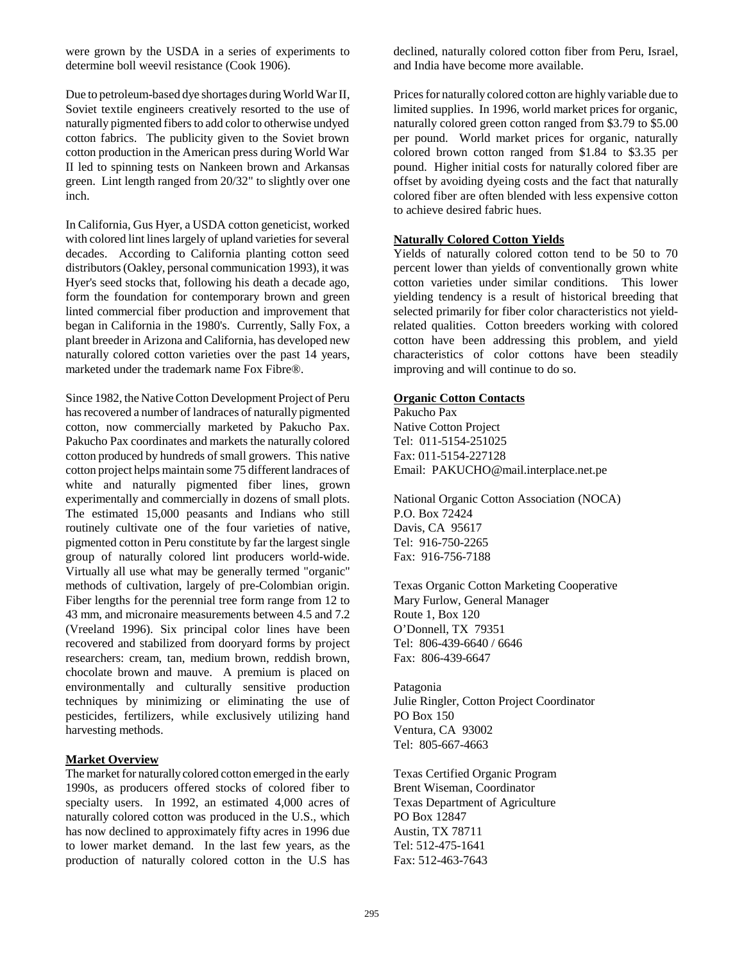were grown by the USDA in a series of experiments to determine boll weevil resistance (Cook 1906).

Due to petroleum-based dye shortages during World War II, Soviet textile engineers creatively resorted to the use of naturally pigmented fibers to add color to otherwise undyed cotton fabrics. The publicity given to the Soviet brown cotton production in the American press during World War II led to spinning tests on Nankeen brown and Arkansas green. Lint length ranged from 20/32" to slightly over one inch.

In California, Gus Hyer, a USDA cotton geneticist, worked with colored lint lines largely of upland varieties for several decades. According to California planting cotton seed distributors (Oakley, personal communication 1993), it was Hyer's seed stocks that, following his death a decade ago, form the foundation for contemporary brown and green linted commercial fiber production and improvement that began in California in the 1980's. Currently, Sally Fox, a plant breeder in Arizona and California, has developed new naturally colored cotton varieties over the past 14 years, marketed under the trademark name Fox Fibre®.

Since 1982, the Native Cotton Development Project of Peru has recovered a number of landraces of naturally pigmented cotton, now commercially marketed by Pakucho Pax. Pakucho Pax coordinates and markets the naturally colored cotton produced by hundreds of small growers. This native cotton project helps maintain some 75 different landraces of white and naturally pigmented fiber lines, grown experimentally and commercially in dozens of small plots. The estimated 15,000 peasants and Indians who still routinely cultivate one of the four varieties of native, pigmented cotton in Peru constitute by far the largest single group of naturally colored lint producers world-wide. Virtually all use what may be generally termed "organic" methods of cultivation, largely of pre-Colombian origin. Fiber lengths for the perennial tree form range from 12 to 43 mm, and micronaire measurements between 4.5 and 7.2 (Vreeland 1996). Six principal color lines have been recovered and stabilized from dooryard forms by project researchers: cream, tan, medium brown, reddish brown, chocolate brown and mauve. A premium is placed on environmentally and culturally sensitive production techniques by minimizing or eliminating the use of pesticides, fertilizers, while exclusively utilizing hand harvesting methods.

# **Market Overview**

The market for naturally colored cotton emerged in the early 1990s, as producers offered stocks of colored fiber to specialty users. In 1992, an estimated 4,000 acres of naturally colored cotton was produced in the U.S., which has now declined to approximately fifty acres in 1996 due to lower market demand. In the last few years, as the production of naturally colored cotton in the U.S has declined, naturally colored cotton fiber from Peru, Israel, and India have become more available.

Prices for naturally colored cotton are highly variable due to limited supplies. In 1996, world market prices for organic, naturally colored green cotton ranged from \$3.79 to \$5.00 per pound. World market prices for organic, naturally colored brown cotton ranged from \$1.84 to \$3.35 per pound. Higher initial costs for naturally colored fiber are offset by avoiding dyeing costs and the fact that naturally colored fiber are often blended with less expensive cotton to achieve desired fabric hues.

### **Naturally Colored Cotton Yields**

Yields of naturally colored cotton tend to be 50 to 70 percent lower than yields of conventionally grown white cotton varieties under similar conditions. This lower yielding tendency is a result of historical breeding that selected primarily for fiber color characteristics not yieldrelated qualities. Cotton breeders working with colored cotton have been addressing this problem, and yield characteristics of color cottons have been steadily improving and will continue to do so.

## **Organic Cotton Contacts**

Pakucho Pax

Native Cotton Project Tel: 011-5154-251025 Fax: 011-5154-227128 Email: PAKUCHO@mail.interplace.net.pe

National Organic Cotton Association (NOCA) P.O. Box 72424 Davis, CA 95617 Tel: 916-750-2265 Fax: 916-756-7188

Texas Organic Cotton Marketing Cooperative Mary Furlow, General Manager Route 1, Box 120 O'Donnell, TX 79351 Tel: 806-439-6640 / 6646 Fax: 806-439-6647

Patagonia Julie Ringler, Cotton Project Coordinator PO Box 150 Ventura, CA 93002 Tel: 805-667-4663

Texas Certified Organic Program Brent Wiseman, Coordinator Texas Department of Agriculture PO Box 12847 Austin, TX 78711 Tel: 512-475-1641 Fax: 512-463-7643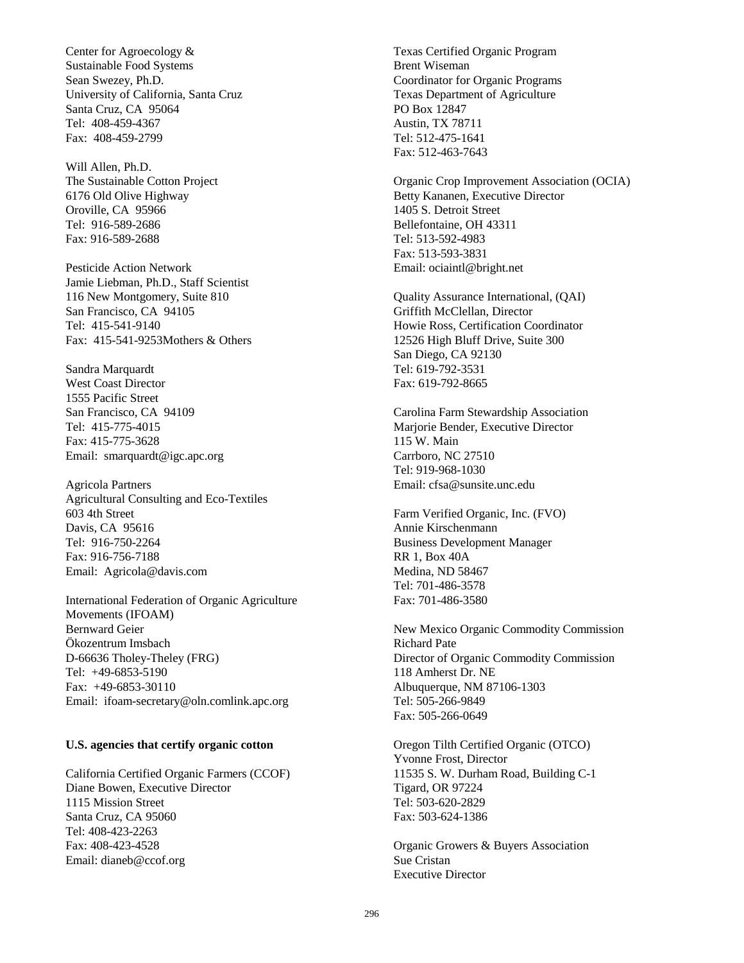Center for Agroecology & Sustainable Food Systems Sean Swezey, Ph.D. University of California, Santa Cruz Santa Cruz, CA 95064 Tel: 408-459-4367 Fax: 408-459-2799

Will Allen, Ph.D. The Sustainable Cotton Project 6176 Old Olive Highway Oroville, CA 95966 Tel: 916-589-2686 Fax: 916-589-2688

Pesticide Action Network Jamie Liebman, Ph.D., Staff Scientist 116 New Montgomery, Suite 810 San Francisco, CA 94105 Tel: 415-541-9140 Fax: 415-541-9253Mothers & Others

Sandra Marquardt West Coast Director 1555 Pacific Street San Francisco, CA 94109 Tel: 415-775-4015 Fax: 415-775-3628 Email: smarquardt@igc.apc.org

Agricola Partners Agricultural Consulting and Eco-Textiles 603 4th Street Davis, CA 95616 Tel: 916-750-2264 Fax: 916-756-7188 Email: Agricola@davis.com

International Federation of Organic Agriculture Movements (IFOAM) Bernward Geier Ökozentrum Imsbach D-66636 Tholey-Theley (FRG) Tel: +49-6853-5190 Fax: +49-6853-30110 Email: ifoam-secretary@oln.comlink.apc.org

#### **U.S. agencies that certify organic cotton**

California Certified Organic Farmers (CCOF) Diane Bowen, Executive Director 1115 Mission Street Santa Cruz, CA 95060 Tel: 408-423-2263 Fax: 408-423-4528 Email: dianeb@ccof.org

Texas Certified Organic Program Brent Wiseman Coordinator for Organic Programs Texas Department of Agriculture PO Box 12847 Austin, TX 78711 Tel: 512-475-1641 Fax: 512-463-7643

Organic Crop Improvement Association (OCIA) Betty Kananen, Executive Director 1405 S. Detroit Street Bellefontaine, OH 43311 Tel: 513-592-4983 Fax: 513-593-3831 Email: ociaintl@bright.net

Quality Assurance International, (QAI) Griffith McClellan, Director Howie Ross, Certification Coordinator 12526 High Bluff Drive, Suite 300 San Diego, CA 92130 Tel: 619-792-3531 Fax: 619-792-8665

Carolina Farm Stewardship Association Marjorie Bender, Executive Director 115 W. Main Carrboro, NC 27510 Tel: 919-968-1030 Email: cfsa@sunsite.unc.edu

Farm Verified Organic, Inc. (FVO) Annie Kirschenmann Business Development Manager RR 1, Box 40A Medina, ND 58467 Tel: 701-486-3578 Fax: 701-486-3580

New Mexico Organic Commodity Commission Richard Pate Director of Organic Commodity Commission 118 Amherst Dr. NE Albuquerque, NM 87106-1303 Tel: 505-266-9849 Fax: 505-266-0649

Oregon Tilth Certified Organic (OTCO) Yvonne Frost, Director 11535 S. W. Durham Road, Building C-1 Tigard, OR 97224 Tel: 503-620-2829 Fax: 503-624-1386

Organic Growers & Buyers Association Sue Cristan Executive Director